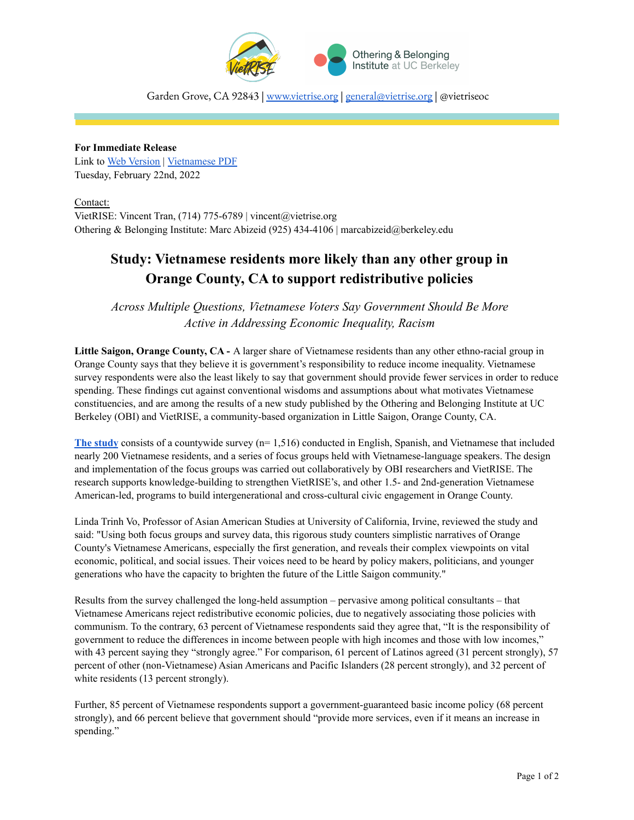

Garden Grove, CA 92843 | [www.vietrise.org](http://www.vietrise.org) | [general@vietrise.org](mailto:general@vietrise.org) | @vietriseoc

**For Immediate Release** Link to Web [Version](https://vietrise.org/press-release-study-vietnamese-residents-more-likely-than-any-other-group-in-orange-county-ca-to-support-redistributive-policies/) | [Vietnamese](http://bit.ly/vietvoicesprviet) PDF Tuesday, February 22nd, 2022

Contact: VietRISE: Vincent Tran, (714) 775-6789 | vincent@vietrise.org Othering & Belonging Institute: Marc Abizeid (925) 434-4106 | marcabizeid@berkeley.edu

## **Study: Vietnamese residents more likely than any other group in Orange County, CA to support redistributive policies**

*Across Multiple Questions, Vietnamese Voters Say Government Should Be More Active in Addressing Economic Inequality, Racism*

**Little Saigon, Orange County, CA -** A larger share of Vietnamese residents than any other ethno-racial group in Orange County says that they believe it is government's responsibility to reduce income inequality. Vietnamese survey respondents were also the least likely to say that government should provide fewer services in order to reduce spending. These findings cut against conventional wisdoms and assumptions about what motivates Vietnamese constituencies, and are among the results of a new study published by the Othering and Belonging Institute at UC Berkeley (OBI) and VietRISE, a community-based organization in Little Saigon, Orange County, CA.

**The [study](https://belonging.berkeley.edu/vietnamese-voices-orange-county-ca)** consists of a countywide survey (n= 1,516) conducted in English, Spanish, and Vietnamese that included nearly 200 Vietnamese residents, and a series of focus groups held with Vietnamese-language speakers. The design and implementation of the focus groups was carried out collaboratively by OBI researchers and VietRISE. The research supports knowledge-building to strengthen VietRISE's, and other 1.5- and 2nd-generation Vietnamese American-led, programs to build intergenerational and cross-cultural civic engagement in Orange County.

Linda Trinh Vo, Professor of Asian American Studies at University of California, Irvine, reviewed the study and said: "Using both focus groups and survey data, this rigorous study counters simplistic narratives of Orange County's Vietnamese Americans, especially the first generation, and reveals their complex viewpoints on vital economic, political, and social issues. Their voices need to be heard by policy makers, politicians, and younger generations who have the capacity to brighten the future of the Little Saigon community."

Results from the survey challenged the long-held assumption – pervasive among political consultants – that Vietnamese Americans reject redistributive economic policies, due to negatively associating those policies with communism. To the contrary, 63 percent of Vietnamese respondents said they agree that, "It is the responsibility of government to reduce the differences in income between people with high incomes and those with low incomes," with 43 percent saying they "strongly agree." For comparison, 61 percent of Latinos agreed (31 percent strongly), 57 percent of other (non-Vietnamese) Asian Americans and Pacific Islanders (28 percent strongly), and 32 percent of white residents (13 percent strongly).

Further, 85 percent of Vietnamese respondents support a government-guaranteed basic income policy (68 percent strongly), and 66 percent believe that government should "provide more services, even if it means an increase in spending."